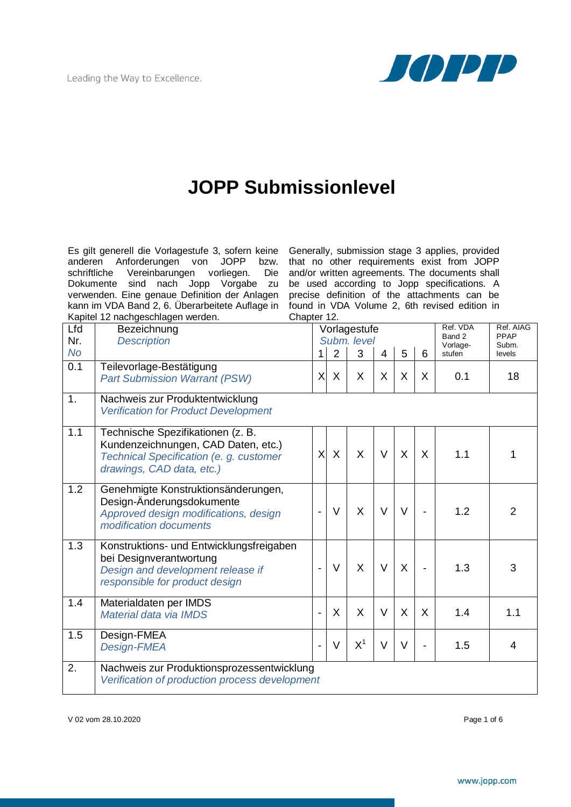

## **JOPP Submissionlevel**

Es gilt generell die Vorlagestufe 3, sofern keine anderen Anforderungen von JOPP bzw. schriftliche Vereinbarungen vorliegen. Die Dokumente sind nach Jopp Vorgabe zu verwenden. Eine genaue Definition der Anlagen kann im VDA Band 2, 6. Überarbeitete Auflage in Kapitel 12 nachgeschlagen werden.

Generally, submission stage 3 applies, provided that no other requirements exist from JOPP and/or written agreements. The documents shall be used according to Jopp specifications. A precise definition of the attachments can be found in VDA Volume 2, 6th revised edition in Chapter 12.

| Lfd       | Bezeichnung                                                                                                                                      |                          |                | Vorlagestufe |                | Ref. VDA<br>Band 2<br>Vorlage- | Ref. AIAG<br>PPAP<br>Subm. |        |                |
|-----------|--------------------------------------------------------------------------------------------------------------------------------------------------|--------------------------|----------------|--------------|----------------|--------------------------------|----------------------------|--------|----------------|
| Nr.       | <b>Description</b>                                                                                                                               |                          |                | Subm. level  |                |                                |                            |        |                |
| <b>No</b> |                                                                                                                                                  | 1                        | $\overline{2}$ | 3            | $\overline{4}$ | 5                              | 6                          | stufen | levels         |
| 0.1       | Teilevorlage-Bestätigung<br><b>Part Submission Warrant (PSW)</b>                                                                                 | X                        | X              | X            | X              | X                              | X                          | 0.1    | 18             |
| 1.        | Nachweis zur Produktentwicklung<br><b>Verification for Product Development</b>                                                                   |                          |                |              |                |                                |                            |        |                |
| 1.1       | Technische Spezifikationen (z. B.<br>Kundenzeichnungen, CAD Daten, etc.)<br>Technical Specification (e. g. customer<br>drawings, CAD data, etc.) | X                        | $\mathsf{X}$   | $\mathsf{X}$ | $\vee$         | X                              | $\sf X$                    | 1.1    |                |
| 1.2       | Genehmigte Konstruktionsänderungen,<br>Design-Änderungsdokumente<br>Approved design modifications, design<br>modification documents              | $\overline{\phantom{0}}$ | $\vee$         | X            | $\vee$         | $\vee$                         |                            | 1.2    | $\overline{2}$ |
| 1.3       | Konstruktions- und Entwicklungsfreigaben<br>bei Designverantwortung<br>Design and development release if<br>responsible for product design       |                          | $\vee$         | X            | $\vee$         | X                              |                            | 1.3    | 3              |
| 1.4       | Materialdaten per IMDS<br>Material data via IMDS                                                                                                 |                          | X              | X            | $\vee$         | $\sf X$                        | X                          | 1.4    | 1.1            |
| 1.5       | Design-FMEA<br>Design-FMEA                                                                                                                       | $\overline{\phantom{0}}$ | $\vee$         | $X^1$        | $\vee$         | $\vee$                         |                            | 1.5    | 4              |
| 2.        | Nachweis zur Produktionsprozessentwicklung<br>Verification of production process development                                                     |                          |                |              |                |                                |                            |        |                |

V 02 vom 28.10.2020 Page 1 of 6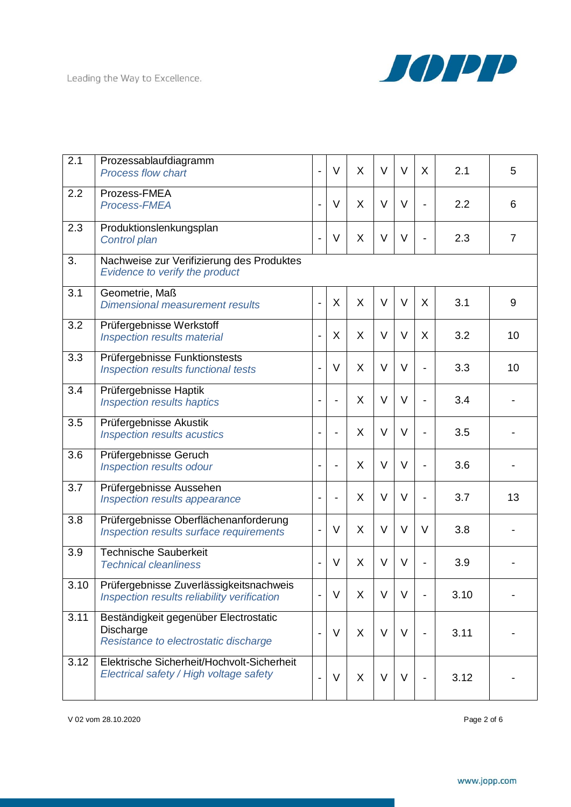

| 2.1  | Prozessablaufdiagramm<br><b>Process flow chart</b>                                                 | $\frac{1}{2}$            | V              | X       | $\vee$ | $\vee$ | $\mathsf{X}$ | 2.1  | 5  |  |
|------|----------------------------------------------------------------------------------------------------|--------------------------|----------------|---------|--------|--------|--------------|------|----|--|
| 2.2  | Prozess-FMEA<br>Process-FMEA                                                                       | $\overline{a}$           | V              | X       | $\vee$ | $\vee$ |              | 2.2  | 6  |  |
| 2.3  | Produktionslenkungsplan<br>Control plan                                                            | $\overline{\phantom{a}}$ | V              | X       | V      | V      |              | 2.3  | 7  |  |
| 3.   | Nachweise zur Verifizierung des Produktes<br>Evidence to verify the product                        |                          |                |         |        |        |              |      |    |  |
| 3.1  | Geometrie, Maß<br><b>Dimensional measurement results</b>                                           | $\overline{a}$           | X              | X       | $\vee$ | $\vee$ | X            | 3.1  | 9  |  |
| 3.2  | Prüfergebnisse Werkstoff<br>Inspection results material                                            | $\overline{a}$           | X              | X       | $\vee$ | $\vee$ | X            | 3.2  | 10 |  |
| 3.3  | Prüfergebnisse Funktionstests<br>Inspection results functional tests                               | $\overline{a}$           | V              | X       | $\vee$ | $\vee$ |              | 3.3  | 10 |  |
| 3.4  | Prüfergebnisse Haptik<br><b>Inspection results haptics</b>                                         | $\overline{a}$           |                | X       | $\vee$ | $\vee$ |              | 3.4  |    |  |
| 3.5  | Prüfergebnisse Akustik<br>Inspection results acustics                                              | $\blacksquare$           | $\blacksquare$ | X       | $\vee$ | $\vee$ |              | 3.5  |    |  |
| 3.6  | Prüfergebnisse Geruch<br>Inspection results odour                                                  |                          |                | X       | $\vee$ | $\vee$ |              | 3.6  |    |  |
| 3.7  | Prüfergebnisse Aussehen<br>Inspection results appearance                                           | $\blacksquare$           | $\blacksquare$ | X       | $\vee$ | $\vee$ |              | 3.7  | 13 |  |
| 3.8  | Prüfergebnisse Oberflächenanforderung<br>Inspection results surface requirements                   | $\overline{a}$           | V              | X       | $\vee$ | $\vee$ | $\vee$       | 3.8  |    |  |
| 3.9  | <b>Technische Sauberkeit</b><br><b>Technical cleanliness</b>                                       |                          | V              | X       | V      | $\vee$ |              | 3.9  |    |  |
| 3.10 | Prüfergebnisse Zuverlässigkeitsnachweis<br>Inspection results reliability verification             |                          | $\vee$         | X       | $\vee$ | $\vee$ |              | 3.10 |    |  |
| 3.11 | Beständigkeit gegenüber Electrostatic<br><b>Discharge</b><br>Resistance to electrostatic discharge | $\blacksquare$           | V              | $\sf X$ | $\vee$ | $\vee$ |              | 3.11 |    |  |
| 3.12 | Elektrische Sicherheit/Hochvolt-Sicherheit<br>Electrical safety / High voltage safety              |                          | V              | X       | $\vee$ | $\vee$ |              | 3.12 |    |  |

V 02 vom 28.10.2020 Page 2 of 6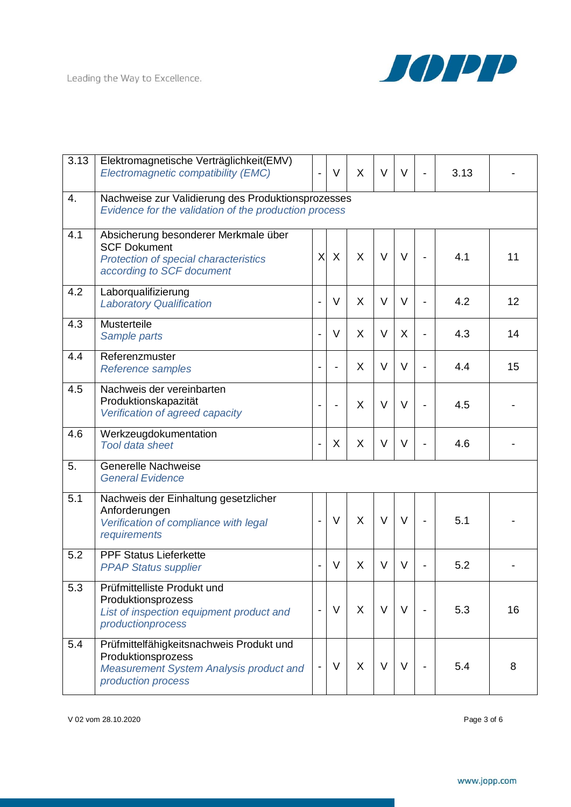

| 3.13 | Elektromagnetische Verträglichkeit(EMV)<br>Electromagnetic compatibility (EMC)                                                         |                              | V | $\mathsf{X}$ | $\vee$ | $\vee$  | $\overline{a}$ | 3.13 |    |
|------|----------------------------------------------------------------------------------------------------------------------------------------|------------------------------|---|--------------|--------|---------|----------------|------|----|
| 4.   | Nachweise zur Validierung des Produktionsprozesses<br>Evidence for the validation of the production process                            |                              |   |              |        |         |                |      |    |
| 4.1  | Absicherung besonderer Merkmale über<br><b>SCF Dokument</b><br>Protection of special characteristics<br>according to SCF document      | $\times$                     | X | X            | $\vee$ | $\vee$  |                | 4.1  | 11 |
| 4.2  | Laborqualifizierung<br><b>Laboratory Qualification</b>                                                                                 | $\overline{\phantom{a}}$     | V | X            | $\vee$ | $\vee$  |                | 4.2  | 12 |
| 4.3  | Musterteile<br>Sample parts                                                                                                            |                              | V | $\mathsf{X}$ | $\vee$ | $\sf X$ | $\overline{a}$ | 4.3  | 14 |
| 4.4  | Referenzmuster<br>Reference samples                                                                                                    | $\overline{\phantom{a}}$     |   | X            | $\vee$ | $\vee$  |                | 4.4  | 15 |
| 4.5  | Nachweis der vereinbarten<br>Produktionskapazität<br>Verification of agreed capacity                                                   | $\overline{\phantom{a}}$     |   | X            | $\vee$ | $\vee$  |                | 4.5  |    |
| 4.6  | Werkzeugdokumentation<br><b>Tool data sheet</b>                                                                                        | $\overline{\phantom{a}}$     | X | X            | $\vee$ | V       |                | 4.6  |    |
| 5.   | <b>Generelle Nachweise</b><br><b>General Evidence</b>                                                                                  |                              |   |              |        |         |                |      |    |
| 5.1  | Nachweis der Einhaltung gesetzlicher<br>Anforderungen<br>Verification of compliance with legal<br>requirements                         | $\overline{\phantom{a}}$     | V | X            | $\vee$ | $\vee$  |                | 5.1  |    |
| 5.2  | <b>PPF Status Lieferkette</b><br><b>PPAP Status supplier</b>                                                                           | $\overline{\phantom{a}}$     | V | X            | $\vee$ | $\vee$  |                | 5.2  |    |
| 5.3  | Prüfmittelliste Produkt und<br>Produktionsprozess<br>List of inspection equipment product and<br>productionprocess                     | $\overline{\phantom{a}}$     | V | $\sf X$      | $\vee$ | $\vee$  |                | 5.3  | 16 |
| 5.4  | Prüfmittelfähigkeitsnachweis Produkt und<br>Produktionsprozess<br><b>Measurement System Analysis product and</b><br>production process | $\qquad \qquad \blacksquare$ | V | $\mathsf{X}$ | $\vee$ | $\vee$  |                | 5.4  | 8  |

V 02 vom 28.10.2020 Page 3 of 6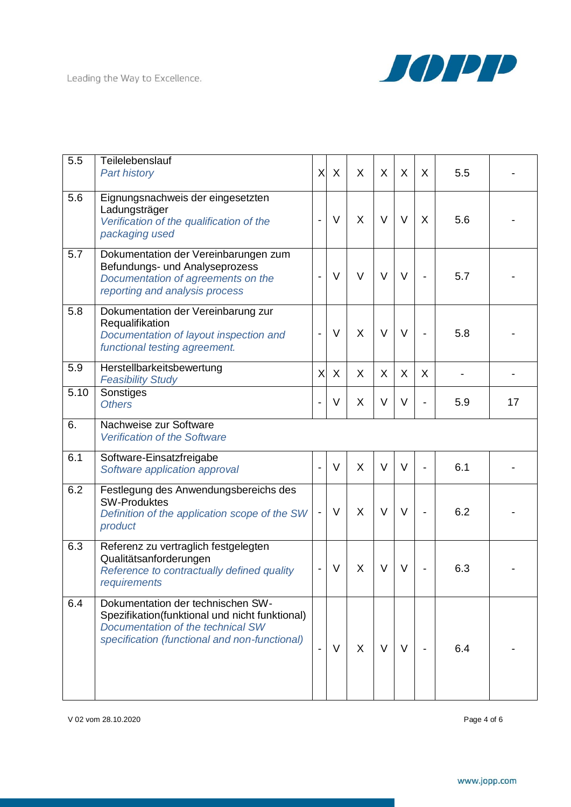

| 5.5  | Teilelebenslauf<br><b>Part history</b>                                                                                                                                    | X                        | $\sf X$ | X      | X      | X      | X | 5.5 |    |
|------|---------------------------------------------------------------------------------------------------------------------------------------------------------------------------|--------------------------|---------|--------|--------|--------|---|-----|----|
| 5.6  | Eignungsnachweis der eingesetzten<br>Ladungsträger<br>Verification of the qualification of the<br>packaging used                                                          | $\overline{\phantom{0}}$ | $\vee$  | X      | $\vee$ | $\vee$ | X | 5.6 |    |
| 5.7  | Dokumentation der Vereinbarungen zum<br>Befundungs- und Analyseprozess<br>Documentation of agreements on the<br>reporting and analysis process                            | $\blacksquare$           | $\vee$  | $\vee$ | $\vee$ | $\vee$ |   | 5.7 |    |
| 5.8  | Dokumentation der Vereinbarung zur<br>Requalifikation<br>Documentation of layout inspection and<br>functional testing agreement.                                          | $\blacksquare$           | $\vee$  | X      | $\vee$ | $\vee$ |   | 5.8 |    |
| 5.9  | Herstellbarkeitsbewertung<br><b>Feasibility Study</b>                                                                                                                     | $\times$                 | X       | X      | X      | X      | X |     |    |
| 5.10 | Sonstiges<br><b>Others</b>                                                                                                                                                |                          | $\vee$  | X      | $\vee$ | $\vee$ |   | 5.9 | 17 |
| 6.   | Nachweise zur Software<br><b>Verification of the Software</b>                                                                                                             |                          |         |        |        |        |   |     |    |
| 6.1  | Software-Einsatzfreigabe<br>Software application approval                                                                                                                 | $\blacksquare$           | $\vee$  | X      | $\vee$ | $\vee$ |   | 6.1 |    |
| 6.2  | Festlegung des Anwendungsbereichs des<br><b>SW-Produktes</b><br>Definition of the application scope of the SW<br>product                                                  | $\overline{\phantom{a}}$ | $\vee$  | X      | $\vee$ | $\vee$ |   | 6.2 |    |
| 6.3  | Referenz zu vertraglich festgelegten<br>Qualitätsanforderungen<br>Reference to contractually defined quality<br>requirements                                              | $\overline{\phantom{0}}$ | V       | X      | $\vee$ | $\vee$ |   | 6.3 |    |
| 6.4  | Dokumentation der technischen SW-<br>Spezifikation(funktional und nicht funktional)<br>Documentation of the technical SW<br>specification (functional and non-functional) |                          | V       | X      | V      | V      |   | 6.4 |    |

V 02 vom 28.10.2020 Page 4 of 6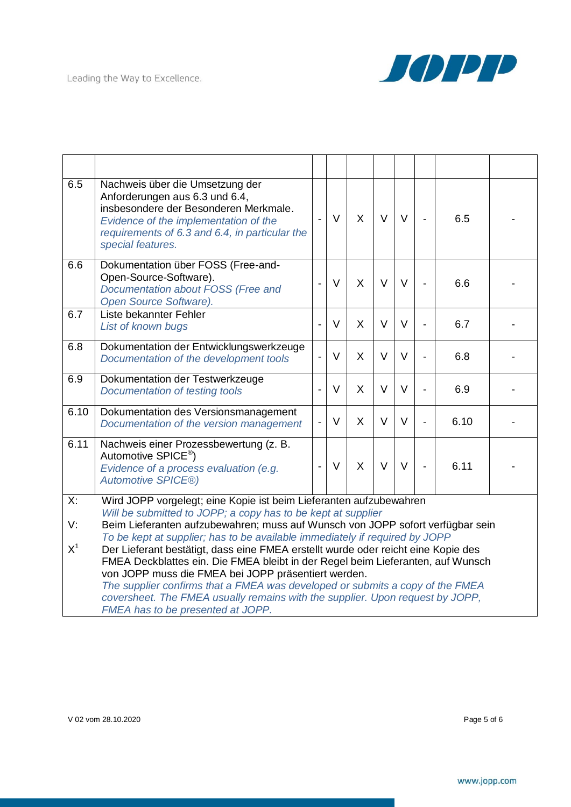

| 6.5                       | Nachweis über die Umsetzung der<br>Anforderungen aus 6.3 und 6.4,<br>insbesondere der Besonderen Merkmale.<br>Evidence of the implementation of the<br>requirements of 6.3 and 6.4, in particular the<br>special features.                                                                                                                                                                                                         | $\overline{a}$           | $\vee$ | $\mathsf{X}$ | $\vee$ | $\vee$ | $\frac{1}{2}$  | 6.5  |  |
|---------------------------|------------------------------------------------------------------------------------------------------------------------------------------------------------------------------------------------------------------------------------------------------------------------------------------------------------------------------------------------------------------------------------------------------------------------------------|--------------------------|--------|--------------|--------|--------|----------------|------|--|
| 6.6                       | Dokumentation über FOSS (Free-and-<br>Open-Source-Software).<br>Documentation about FOSS (Free and<br>Open Source Software).                                                                                                                                                                                                                                                                                                       | $\overline{a}$           | $\vee$ | X            | $\vee$ | $\vee$ | $\overline{a}$ | 6.6  |  |
| 6.7                       | Liste bekannter Fehler<br>List of known bugs                                                                                                                                                                                                                                                                                                                                                                                       | $\overline{a}$           | V      | $\mathsf{X}$ | $\vee$ | $\vee$ | $\overline{a}$ | 6.7  |  |
| 6.8                       | Dokumentation der Entwicklungswerkzeuge<br>Documentation of the development tools                                                                                                                                                                                                                                                                                                                                                  |                          | $\vee$ | $\mathsf{X}$ | $\vee$ | $\vee$ | $\overline{a}$ | 6.8  |  |
| 6.9                       | Dokumentation der Testwerkzeuge<br>Documentation of testing tools                                                                                                                                                                                                                                                                                                                                                                  |                          | $\vee$ | X            | $\vee$ | $\vee$ | $\overline{a}$ | 6.9  |  |
| 6.10                      | Dokumentation des Versionsmanagement<br>Documentation of the version management                                                                                                                                                                                                                                                                                                                                                    | $\overline{\phantom{0}}$ | V      | $\mathsf{X}$ | $\vee$ | $\vee$ | $\overline{a}$ | 6.10 |  |
| 6.11                      | Nachweis einer Prozessbewertung (z. B.<br>Automotive SPICE <sup>®</sup> )<br>Evidence of a process evaluation (e.g.<br><b>Automotive SPICE®)</b>                                                                                                                                                                                                                                                                                   |                          | $\vee$ | $\mathsf{X}$ | $\vee$ | $\vee$ | $\overline{a}$ | 6.11 |  |
| $\overline{\mathsf{X}}$ : | Wird JOPP vorgelegt; eine Kopie ist beim Lieferanten aufzubewahren                                                                                                                                                                                                                                                                                                                                                                 |                          |        |              |        |        |                |      |  |
| V۰                        | Will be submitted to JOPP; a copy has to be kept at supplier<br>Beim Lieferanten aufzubewahren; muss auf Wunsch von JOPP sofort verfügbar sein<br>To be kept at supplier; has to be available immediately if required by JOPP                                                                                                                                                                                                      |                          |        |              |        |        |                |      |  |
| $X^1$                     | Der Lieferant bestätigt, dass eine FMEA erstellt wurde oder reicht eine Kopie des<br>FMEA Deckblattes ein. Die FMEA bleibt in der Regel beim Lieferanten, auf Wunsch<br>von JOPP muss die FMEA bei JOPP präsentiert werden.<br>The supplier confirms that a FMEA was developed or submits a copy of the FMEA<br>coversheet. The FMEA usually remains with the supplier. Upon request by JOPP,<br>FMEA has to be presented at JOPP. |                          |        |              |        |        |                |      |  |